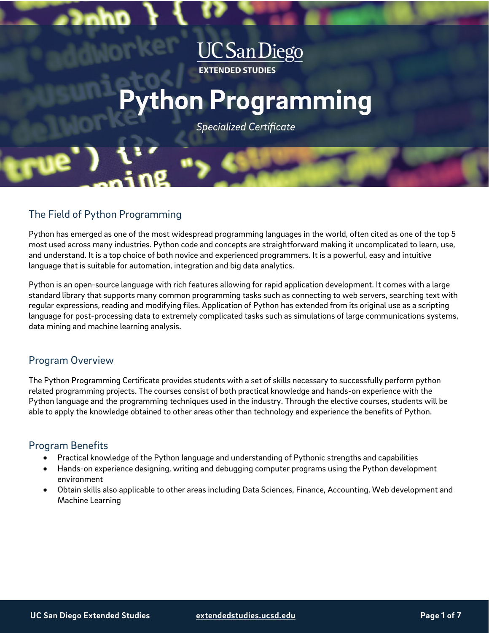## **UC San Diego EXTENDED STUDIES**

# ython Programming

**Specialized Certificate** 

## The Field of Python Programming

Python has emerged as one of the most widespread programming languages in the world, often cited as one of the top 5 most used across many industries. Python code and concepts are straightforward making it uncomplicated to learn, use, and understand. It is a top choice of both novice and experienced programmers. It is a powerful, easy and intuitive language that is suitable for automation, integration and big data analytics.

Python is an open-source language with rich features allowing for rapid application development. It comes with a large standard library that supports many common programming tasks such as connecting to web servers, searching text with regular expressions, reading and modifying files. Application of Python has extended from its original use as a scripting language for post-processing data to extremely complicated tasks such as simulations of large communications systems, data mining and machine learning analysis.

## Program Overview

The Python Programming Certificate provides students with a set of skills necessary to successfully perform python related programming projects. The courses consist of both practical knowledge and hands-on experience with the Python language and the programming techniques used in the industry. Through the elective courses, students will be able to apply the knowledge obtained to other areas other than technology and experience the benefits of Python.

## Program Benefits

- Practical knowledge of the Python language and understanding of Pythonic strengths and capabilities
- Hands-on experience designing, writing and debugging computer programs using the Python development environment
- Obtain skills also applicable to other areas including Data Sciences, Finance, Accounting, Web development and Machine Learning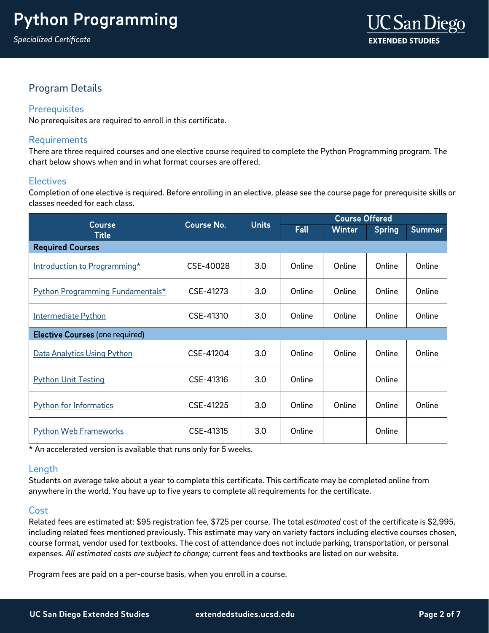

## Program Details

## **Prerequisites**

No prerequisites are required to enroll in this certificate.

## Requirements

There are three required courses and one elective course required to complete the Python Programming program. The chart below shows when and in what format courses are offered.

## **Electives**

Completion of one elective is required. Before enrolling in an elective, please see the course page for prerequisite skills or classes needed for each class.

| <b>Course</b><br><b>Title</b>           | Course No. | <b>Units</b> | <b>Course Offered</b> |               |               |               |
|-----------------------------------------|------------|--------------|-----------------------|---------------|---------------|---------------|
|                                         |            |              | Fall                  | <b>Winter</b> | <b>Spring</b> | <b>Summer</b> |
| <b>Required Courses</b>                 |            |              |                       |               |               |               |
| Introduction to Programming*            | CSE-40028  | 3.0          | Online                | Online        | Online        | Online        |
| <b>Python Programming Fundamentals*</b> | CSE-41273  | 3.0          | Online                | Online        | Online        | Online        |
| <b>Intermediate Python</b>              | CSE-41310  | 3.0          | Online                | Online        | Online        | Online        |
| <b>Elective Courses (one required)</b>  |            |              |                       |               |               |               |
| Data Analytics Using Python             | CSE-41204  | 3.0          | Online                | Online        | Online        | Online        |
| <b>Python Unit Testing</b>              | CSE-41316  | 3.0          | Online                |               | Online        |               |
| <b>Python for Informatics</b>           | CSE-41225  | 3.0          | Online                | Online        | Online        | Online        |
| <b>Python Web Frameworks</b>            | CSE-41315  | 3.0          | Online                |               | Online        |               |

\* An accelerated version is available that runs only for 5 weeks.

## Length

Students on average take about a year to complete this certificate. This certificate may be completed online from anywhere in the world. You have up to five years to complete all requirements for the certificate.

## **Cost**

Related fees are estimated at: \$95 registration fee, \$725 per course. The total *estimated* cost of the certificate is \$2,995, including related fees mentioned previously. This estimate may vary on variety factors including elective courses chosen, course format, vendor used for textbooks. The cost of attendance does not include parking, transportation, or personal expenses. *All estimated costs are subject to change;* current fees and textbooks are listed on our website.

Program fees are paid on a per-course basis, when you enroll in a course.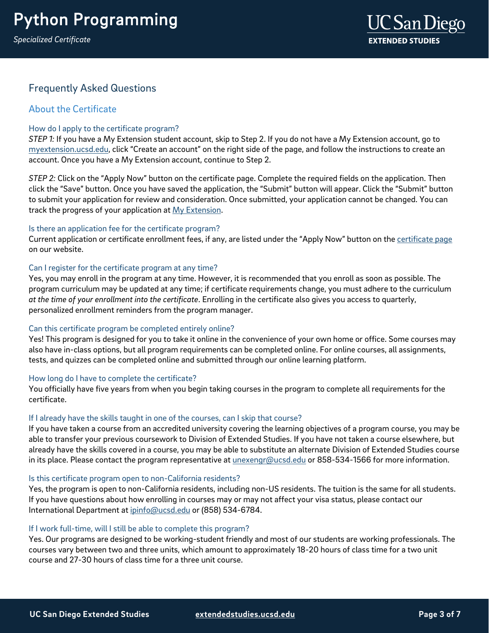

## Frequently Asked Questions

## About the Certificate

## How do I apply to the certificate program?

*STEP 1:* If you have a My Extension student account, skip to Step 2. If you do not have a My Extension account, go to [myextension.ucsd.edu,](mailto:https://myextension.ucsd.edu/?utm_source=faqs-pdf&utm_medium=pdf&utm_campaign=bst-rf-engineering) click "Create an account" on the right side of the page, and follow the instructions to create an account. Once you have a My Extension account, continue to Step 2.

*STEP 2:* Click on the "Apply Now" button on the certificate page. Complete the required fields on the application. Then click the "Save" button. Once you have saved the application, the "Submit" button will appear. Click the "Submit" button to submit your application for review and consideration. Once submitted, your application cannot be changed. You can track the progress of your application at [My Extension.](https://myextension.ucsd.edu/?utm_source=faqs-pdf&utm_medium=pdf&utm_campaign=bst-rf-engineering)

## Is there an application fee for the certificate program?

Current application or certificate enrollment fees, if any, are listed under the "Apply Now" button on th[e certificate page](https://extendedstudies.ucsd.edu/courses-and-programs/rf-engineering?utm_source=faqs-pdf&utm_medium=pdf&utm_campaign=bst-rf-engineering) on our website.

## Can I register for the certificate program at any time?

Yes, you may enroll in the program at any time. However, it is recommended that you enroll as soon as possible. The program curriculum may be updated at any time; if certificate requirements change, you must adhere to the curriculum *at the time of your enrollment into the certificate*. Enrolling in the certificate also gives you access to quarterly, personalized enrollment reminders from the program manager.

## Can this certificate program be completed entirely online?

Yes! This program is designed for you to take it online in the convenience of your own home or office. Some courses may also have in-class options, but all program requirements can be completed online. For online courses, all assignments, tests, and quizzes can be completed online and submitted through our online learning platform.

## How long do I have to complete the certificate?

You officially have five years from when you begin taking courses in the program to complete all requirements for the certificate.

## If I already have the skills taught in one of the courses, can I skip that course?

If you have taken a course from an accredited university covering the learning objectives of a program course, you may be able to transfer your previous coursework to Division of Extended Studies. If you have not taken a course elsewhere, but already have the skills covered in a course, you may be able to substitute an alternate Division of Extended Studies course in its place. Please contact the program representative at  $unexengr@ucsd.edu$  or 858-534-1566 for more information.

## Is this certificate program open to non-California residents?

Yes, the program is open to non-California residents, including non-US residents. The tuition is the same for all students. If you have questions about how enrolling in courses may or may not affect your visa status, please contact our International Department at [ipinfo@ucsd.edu](mailto:https://extendedstudies.ucsd.edu/courses-and-programs/rf-engineering?utm_source=faqs-pdf&utm_medium=pdf&utm_campaign=bst-rf-engineering) or (858) 534-6784.

## If I work full-time, will I still be able to complete this program?

Yes. Our programs are designed to be working-student friendly and most of our students are working professionals. The courses vary between two and three units, which amount to approximately 18-20 hours of class time for a two unit course and 27-30 hours of class time for a three unit course.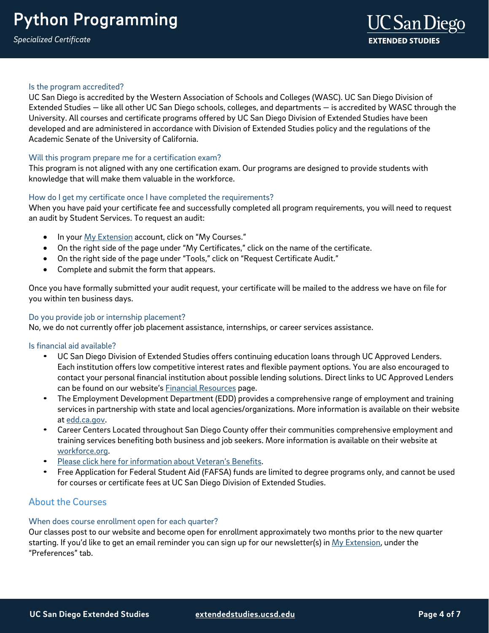## Is the program accredited?

UC San Diego is accredited by the Western Association of Schools and Colleges (WASC). UC San Diego Division of Extended Studies — like all other UC San Diego schools, colleges, and departments — is accredited by WASC through the University. All courses and certificate programs offered by UC San Diego Division of Extended Studies have been developed and are administered in accordance with Division of Extended Studies policy and the regulations of the Academic Senate of the University of California.

## Will this program prepare me for a certification exam?

This program is not aligned with any one certification exam. Our programs are designed to provide students with knowledge that will make them valuable in the workforce.

## How do I get my certificate once I have completed the requirements?

When you have paid your certificate fee and successfully completed all program requirements, you will need to request an audit by Student Services. To request an audit:

- In you[r My Extension](https://myextension.ucsd.edu/?utm_source=faqs-pdf&utm_medium=pdf&utm_campaign=bst-rf-engineering) account, click on "My Courses."
- On the right side of the page under "My Certificates," click on the name of the certificate.
- On the right side of the page under "Tools," click on "Request Certificate Audit."
- Complete and submit the form that appears.

Once you have formally submitted your audit request, your certificate will be mailed to the address we have on file for you within ten business days.

## Do you provide job or internship placement?

No, we do not currently offer job placement assistance, internships, or career services assistance.

## Is financial aid available?

- UC San Diego Division of Extended Studies offers continuing education loans through UC Approved Lenders. Each institution offers low competitive interest rates and flexible payment options. You are also encouraged to contact your personal financial institution about possible lending solutions. Direct links to UC Approved Lenders can be found on our website's [Financial Resources](https://extendedstudies.ucsd.edu/student-resources/financial-resources?utm_source=faqs-pdf&utm_medium=pdf&utm_campaign=bst-rf-engineering) page.
- The Employment Development Department (EDD) provides a comprehensive range of employment and training services in partnership with state and local agencies/organizations. More information is available on their website at [edd.ca.gov.](https://edd.ca.gov/)
- Career Centers Located throughout San Diego County offer their communities comprehensive employment and training services benefiting both business and job seekers. More information is available on their website at [workforce.org.](https://workforce.org/)
- [Please click here for information about Veteran's Benefits.](https://extendedstudies.ucsd.edu/student-resources/financial-resources/veterans-education-benefits?utm_source=faqs-pdf&utm_medium=pdf&utm_campaign=bst-rf-engineering)
- Free Application for Federal Student Aid (FAFSA) funds are limited to degree programs only, and cannot be used for courses or certificate fees at UC San Diego Division of Extended Studies.

## About the Courses

## When does course enrollment open for each quarter?

Our classes post to our website and become open for enrollment approximately two months prior to the new quarter starting. If you'd like to get an email reminder you can sign up for our newsletter(s) i[n My Extension,](https://myextension.ucsd.edu/?utm_source=faqs-pdf&utm_medium=pdf&utm_campaign=bst-rf-engineering) under the "Preferences" tab.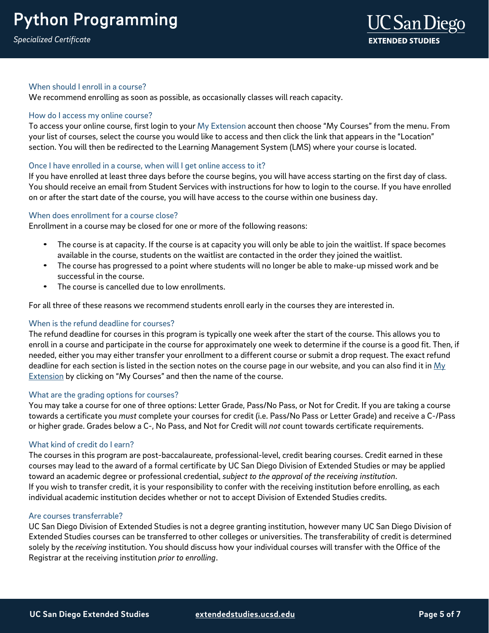## When should Lenroll in a course?

We recommend enrolling as soon as possible, as occasionally classes will reach capacity.

## How do I access my online course?

To access your online course, first login to your My Extension account then choose "My Courses" from the menu. From your list of courses, select the course you would like to access and then click the link that appears in the "Location" section. You will then be redirected to the Learning Management System (LMS) where your course is located.

## Once I have enrolled in a course, when will I get online access to it?

If you have enrolled at least three days before the course begins, you will have access starting on the first day of class. You should receive an email from Student Services with instructions for how to login to the course. If you have enrolled on or after the start date of the course, you will have access to the course within one business day.

## When does enrollment for a course close?

Enrollment in a course may be closed for one or more of the following reasons:

- The course is at capacity. If the course is at capacity you will only be able to join the waitlist. If space becomes available in the course, students on the waitlist are contacted in the order they joined the waitlist.
- The course has progressed to a point where students will no longer be able to make-up missed work and be successful in the course.
- The course is cancelled due to low enrollments.

For all three of these reasons we recommend students enroll early in the courses they are interested in.

## When is the refund deadline for courses?

The refund deadline for courses in this program is typically one week after the start of the course. This allows you to enroll in a course and participate in the course for approximately one week to determine if the course is a good fit. Then, if needed, either you may either transfer your enrollment to a different course or submit a drop request. The exact refund deadline for each section is listed in the section notes on the course page in our website, and you can also find it in [My](https://myextension.ucsd.edu/?utm_source=faqs-pdf&utm_medium=pdf&utm_campaign=bst-rf-engineering)  [Extension](https://myextension.ucsd.edu/?utm_source=faqs-pdf&utm_medium=pdf&utm_campaign=bst-rf-engineering) by clicking on "My Courses" and then the name of the course.

## What are the grading options for courses?

You may take a course for one of three options: Letter Grade, Pass/No Pass, or Not for Credit. If you are taking a course towards a certificate you *must* complete your courses for credit (i.e. Pass/No Pass or Letter Grade) and receive a C-/Pass or higher grade. Grades below a C-, No Pass, and Not for Credit will *not* count towards certificate requirements.

## What kind of credit do I earn?

The courses in this program are post-baccalaureate, professional-level, credit bearing courses. Credit earned in these courses may lead to the award of a formal certificate by UC San Diego Division of Extended Studies or may be applied toward an academic degree or professional credential, *subject to the approval of the receiving institution*. If you wish to transfer credit, it is your responsibility to confer with the receiving institution before enrolling, as each individual academic institution decides whether or not to accept Division of Extended Studies credits.

## Are courses transferrable?

UC San Diego Division of Extended Studies is not a degree granting institution, however many UC San Diego Division of Extended Studies courses can be transferred to other colleges or universities. The transferability of credit is determined solely by the *receiving* institution. You should discuss how your individual courses will transfer with the Office of the Registrar at the receiving institution *prior to enrolling*.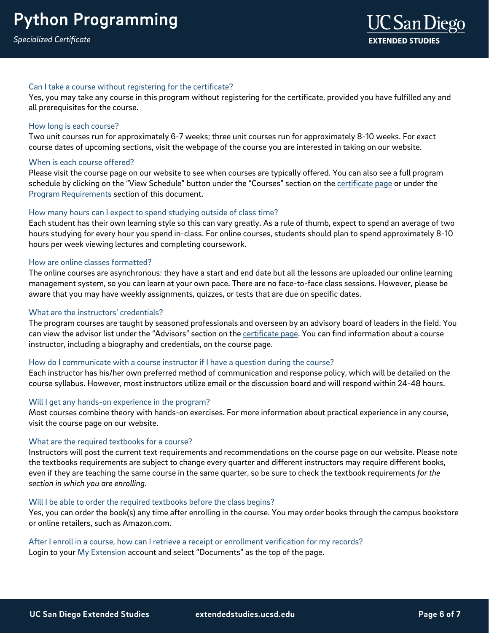## Can I take a course without registering for the certificate?

Yes, you may take any course in this program without registering for the certificate, provided you have fulfilled any and all prerequisites for the course.

## How long is each course?

Two unit courses run for approximately 6-7 weeks; three unit courses run for approximately 8-10 weeks. For exact course dates of upcoming sections, visit the webpage of the course you are interested in taking on our website.

#### When is each course offered?

Please visit the course page on our website to see when courses are typically offered. You can also see a full program schedule by clicking on the "View Schedule" button under the "Courses" section on th[e certificate page](https://extendedstudies.ucsd.edu/courses-and-programs/rf-engineering?utm_source=faqs-pdf&utm_medium=pdf&utm_campaign=bst-rf-engineering) or under the Program Requirements section of this document.

#### How many hours can I expect to spend studying outside of class time?

Each student has their own learning style so this can vary greatly. As a rule of thumb, expect to spend an average of two hours studying for every hour you spend in-class. For online courses, students should plan to spend approximately 8-10 hours per week viewing lectures and completing coursework.

#### How are online classes formatted?

The online courses are asynchronous: they have a start and end date but all the lessons are uploaded our online learning management system, so you can learn at your own pace. There are no face-to-face class sessions. However, please be aware that you may have weekly assignments, quizzes, or tests that are due on specific dates.

## What are the instructors' credentials?

The program courses are taught by seasoned professionals and overseen by an advisory board of leaders in the field. You can view the advisor list under the "Advisors" section on the [certificate page.](https://extendedstudies.ucsd.edu/courses-and-programs/rf-engineering?utm_source=faqs-pdf&utm_medium=pdf&utm_campaign=bst-rf-engineering) You can find information about a course instructor, including a biography and credentials, on the course page.

#### How do I communicate with a course instructor if I have a question during the course?

Each instructor has his/her own preferred method of communication and response policy, which will be detailed on the course syllabus. However, most instructors utilize email or the discussion board and will respond within 24-48 hours.

## Will I get any hands-on experience in the program?

Most courses combine theory with hands-on exercises. For more information about practical experience in any course, visit the course page on our website.

#### What are the required textbooks for a course?

Instructors will post the current text requirements and recommendations on the course page on our website. Please note the textbooks requirements are subject to change every quarter and different instructors may require different books, even if they are teaching the same course in the same quarter, so be sure to check the textbook requirements *for the section in which you are enrolling*.

#### Will I be able to order the required textbooks before the class begins?

Yes, you can order the book(s) any time after enrolling in the course. You may order books through the campus bookstore or online retailers, such as Amazon.com.

After I enroll in a course, how can I retrieve a receipt or enrollment verification for my records? Login to your [My Extension](https://myextension.ucsd.edu/?utm_source=faqs-pdf&utm_medium=pdf&utm_campaign=bst-rf-engineering) account and select "Documents" as the top of the page.